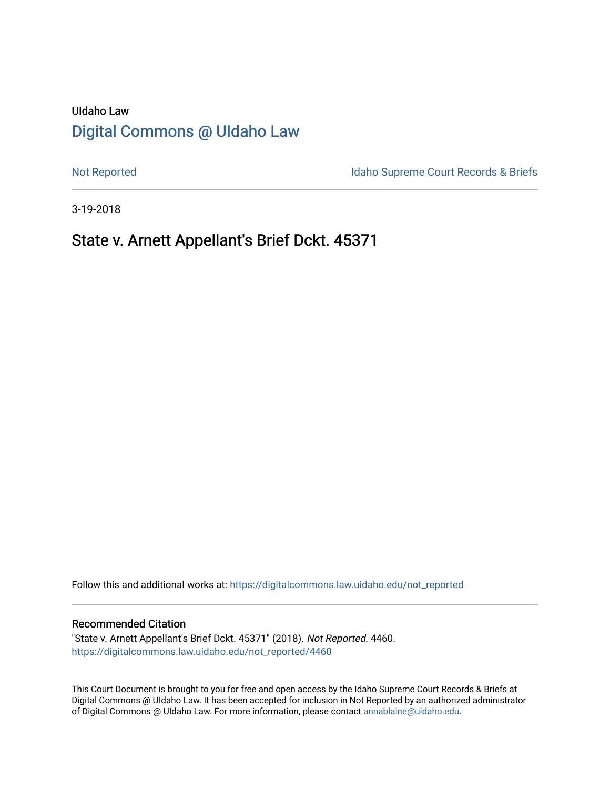# UIdaho Law [Digital Commons @ UIdaho Law](https://digitalcommons.law.uidaho.edu/)

[Not Reported](https://digitalcommons.law.uidaho.edu/not_reported) **Idaho Supreme Court Records & Briefs** 

3-19-2018

# State v. Arnett Appellant's Brief Dckt. 45371

Follow this and additional works at: [https://digitalcommons.law.uidaho.edu/not\\_reported](https://digitalcommons.law.uidaho.edu/not_reported?utm_source=digitalcommons.law.uidaho.edu%2Fnot_reported%2F4460&utm_medium=PDF&utm_campaign=PDFCoverPages) 

#### Recommended Citation

"State v. Arnett Appellant's Brief Dckt. 45371" (2018). Not Reported. 4460. [https://digitalcommons.law.uidaho.edu/not\\_reported/4460](https://digitalcommons.law.uidaho.edu/not_reported/4460?utm_source=digitalcommons.law.uidaho.edu%2Fnot_reported%2F4460&utm_medium=PDF&utm_campaign=PDFCoverPages)

This Court Document is brought to you for free and open access by the Idaho Supreme Court Records & Briefs at Digital Commons @ UIdaho Law. It has been accepted for inclusion in Not Reported by an authorized administrator of Digital Commons @ UIdaho Law. For more information, please contact [annablaine@uidaho.edu](mailto:annablaine@uidaho.edu).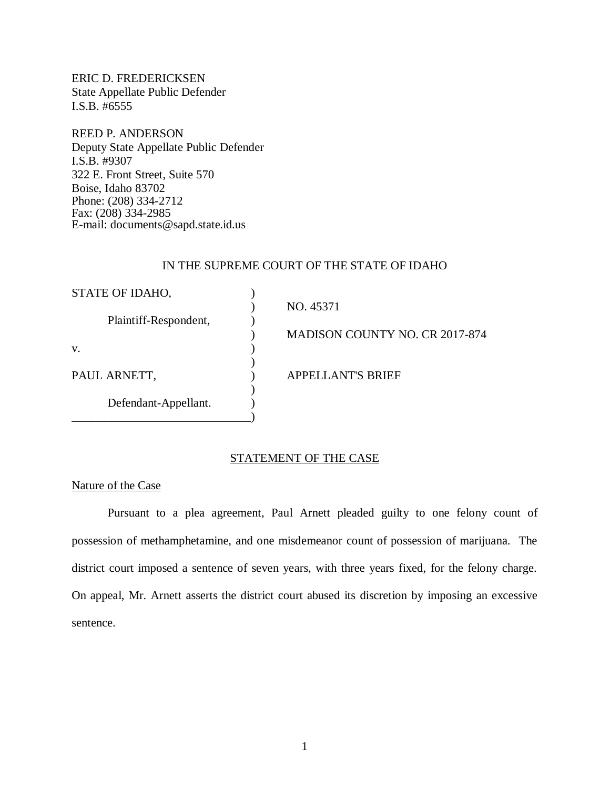ERIC D. FREDERICKSEN State Appellate Public Defender I.S.B. #6555

REED P. ANDERSON Deputy State Appellate Public Defender I.S.B. #9307 322 E. Front Street, Suite 570 Boise, Idaho 83702 Phone: (208) 334-2712 Fax: (208) 334-2985 E-mail: documents@sapd.state.id.us

## IN THE SUPREME COURT OF THE STATE OF IDAHO

| STATE OF IDAHO,       |                                       |
|-----------------------|---------------------------------------|
|                       | NO. 45371                             |
| Plaintiff-Respondent, |                                       |
|                       | <b>MADISON COUNTY NO. CR 2017-874</b> |
| V.                    |                                       |
|                       |                                       |
| PAUL ARNETT,          | <b>APPELLANT'S BRIEF</b>              |
|                       |                                       |
| Defendant-Appellant.  |                                       |
|                       |                                       |

# STATEMENT OF THE CASE

# Nature of the Case

Pursuant to a plea agreement, Paul Arnett pleaded guilty to one felony count of possession of methamphetamine, and one misdemeanor count of possession of marijuana. The district court imposed a sentence of seven years, with three years fixed, for the felony charge. On appeal, Mr. Arnett asserts the district court abused its discretion by imposing an excessive sentence.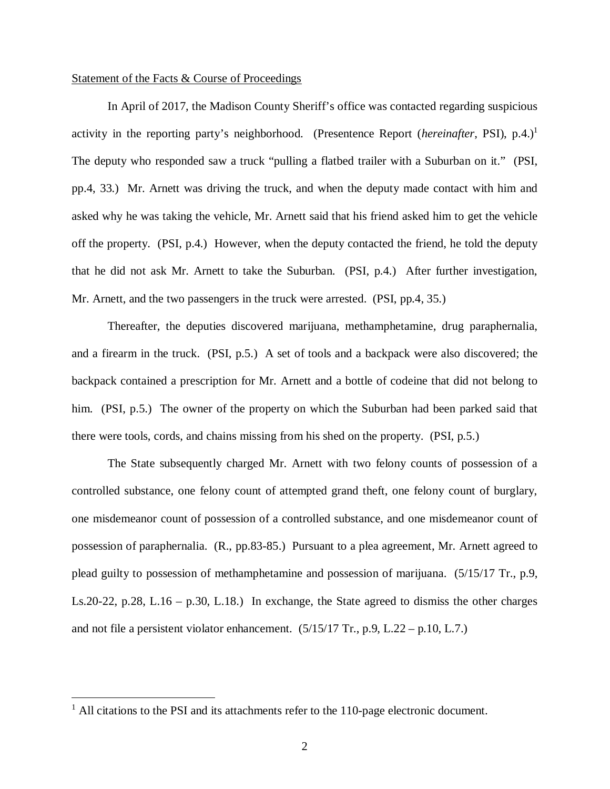#### Statement of the Facts & Course of Proceedings

In April of 2017, the Madison County Sheriff's office was contacted regarding suspicious activity in the reporting party's neighborhood. (Presentence Report (*hereinafter*, PSI), p.4.)<sup>[1](#page-2-0)</sup> The deputy who responded saw a truck "pulling a flatbed trailer with a Suburban on it." (PSI, pp.4, 33.) Mr. Arnett was driving the truck, and when the deputy made contact with him and asked why he was taking the vehicle, Mr. Arnett said that his friend asked him to get the vehicle off the property. (PSI, p.4.) However, when the deputy contacted the friend, he told the deputy that he did not ask Mr. Arnett to take the Suburban. (PSI, p.4.) After further investigation, Mr. Arnett, and the two passengers in the truck were arrested. (PSI, pp.4, 35.)

Thereafter, the deputies discovered marijuana, methamphetamine, drug paraphernalia, and a firearm in the truck. (PSI, p.5.) A set of tools and a backpack were also discovered; the backpack contained a prescription for Mr. Arnett and a bottle of codeine that did not belong to him. (PSI, p.5.) The owner of the property on which the Suburban had been parked said that there were tools, cords, and chains missing from his shed on the property. (PSI, p.5.)

The State subsequently charged Mr. Arnett with two felony counts of possession of a controlled substance, one felony count of attempted grand theft, one felony count of burglary, one misdemeanor count of possession of a controlled substance, and one misdemeanor count of possession of paraphernalia. (R., pp.83-85.) Pursuant to a plea agreement, Mr. Arnett agreed to plead guilty to possession of methamphetamine and possession of marijuana. (5/15/17 Tr., p.9, Ls.20-22, p.28, L.16 – p.30, L.18.) In exchange, the State agreed to dismiss the other charges and not file a persistent violator enhancement.  $(5/15/17$  Tr., p.9, L.22 – p.10, L.7.)

<span id="page-2-0"></span><sup>&</sup>lt;sup>1</sup> All citations to the PSI and its attachments refer to the 110-page electronic document.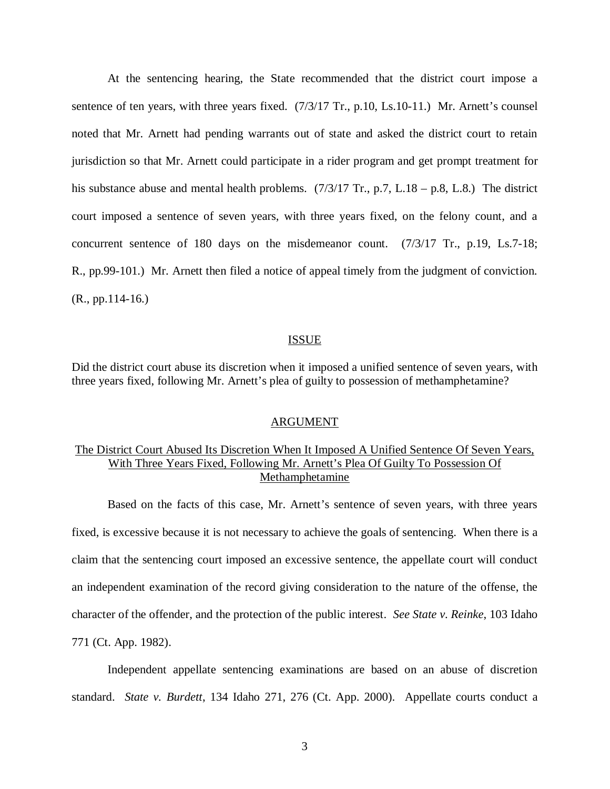At the sentencing hearing, the State recommended that the district court impose a sentence of ten years, with three years fixed. (7/3/17 Tr., p.10, Ls.10-11.) Mr. Arnett's counsel noted that Mr. Arnett had pending warrants out of state and asked the district court to retain jurisdiction so that Mr. Arnett could participate in a rider program and get prompt treatment for his substance abuse and mental health problems.  $(7/3/17 \text{ Tr.}, p.7, L.18 - p.8, L.8)$  The district court imposed a sentence of seven years, with three years fixed, on the felony count, and a concurrent sentence of 180 days on the misdemeanor count. (7/3/17 Tr., p.19, Ls.7-18; R., pp.99-101.) Mr. Arnett then filed a notice of appeal timely from the judgment of conviction. (R., pp.114-16.)

### ISSUE

Did the district court abuse its discretion when it imposed a unified sentence of seven years, with three years fixed, following Mr. Arnett's plea of guilty to possession of methamphetamine?

## ARGUMENT

# The District Court Abused Its Discretion When It Imposed A Unified Sentence Of Seven Years, With Three Years Fixed, Following Mr. Arnett's Plea Of Guilty To Possession Of Methamphetamine

Based on the facts of this case, Mr. Arnett's sentence of seven years, with three years fixed, is excessive because it is not necessary to achieve the goals of sentencing. When there is a claim that the sentencing court imposed an excessive sentence, the appellate court will conduct an independent examination of the record giving consideration to the nature of the offense, the character of the offender, and the protection of the public interest. *See State v. Reinke*, 103 Idaho 771 (Ct. App. 1982).

Independent appellate sentencing examinations are based on an abuse of discretion standard. *State v. Burdett*, 134 Idaho 271, 276 (Ct. App. 2000). Appellate courts conduct a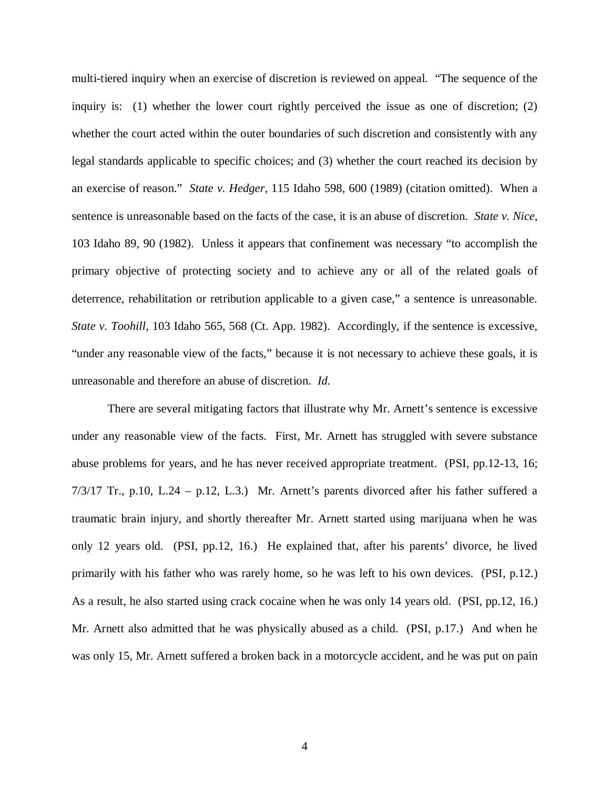multi-tiered inquiry when an exercise of discretion is reviewed on appeal. "The sequence of the inquiry is: (1) whether the lower court rightly perceived the issue as one of discretion; (2) whether the court acted within the outer boundaries of such discretion and consistently with any legal standards applicable to specific choices; and (3) whether the court reached its decision by an exercise of reason." *State v. Hedger*, 115 Idaho 598, 600 (1989) (citation omitted). When a sentence is unreasonable based on the facts of the case, it is an abuse of discretion. *State v. Nice*, 103 Idaho 89, 90 (1982). Unless it appears that confinement was necessary "to accomplish the primary objective of protecting society and to achieve any or all of the related goals of deterrence, rehabilitation or retribution applicable to a given case," a sentence is unreasonable. *State v. Toohill*, 103 Idaho 565, 568 (Ct. App. 1982). Accordingly, if the sentence is excessive, "under any reasonable view of the facts," because it is not necessary to achieve these goals, it is unreasonable and therefore an abuse of discretion. *Id.*

There are several mitigating factors that illustrate why Mr. Arnett's sentence is excessive under any reasonable view of the facts. First, Mr. Arnett has struggled with severe substance abuse problems for years, and he has never received appropriate treatment. (PSI, pp.12-13, 16; 7/3/17 Tr., p.10, L.24 – p.12, L.3.) Mr. Arnett's parents divorced after his father suffered a traumatic brain injury, and shortly thereafter Mr. Arnett started using marijuana when he was only 12 years old. (PSI, pp.12, 16.) He explained that, after his parents' divorce, he lived primarily with his father who was rarely home, so he was left to his own devices. (PSI, p.12.) As a result, he also started using crack cocaine when he was only 14 years old. (PSI, pp.12, 16.) Mr. Arnett also admitted that he was physically abused as a child. (PSI, p.17.) And when he was only 15, Mr. Arnett suffered a broken back in a motorcycle accident, and he was put on pain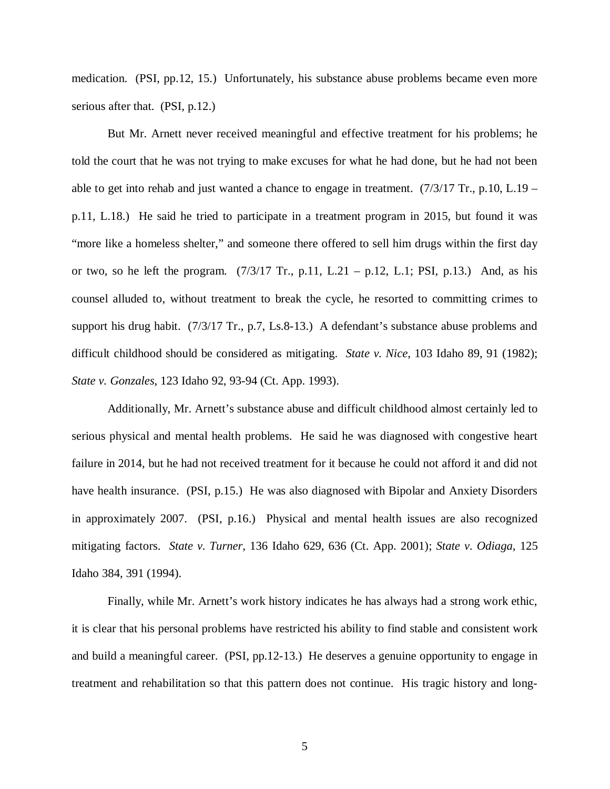medication. (PSI, pp.12, 15.) Unfortunately, his substance abuse problems became even more serious after that. (PSI, p.12.)

But Mr. Arnett never received meaningful and effective treatment for his problems; he told the court that he was not trying to make excuses for what he had done, but he had not been able to get into rehab and just wanted a chance to engage in treatment.  $(7/3/17 \text{ Tr}$ , p.10, L.19 – p.11, L.18.) He said he tried to participate in a treatment program in 2015, but found it was "more like a homeless shelter," and someone there offered to sell him drugs within the first day or two, so he left the program.  $(7/3/17 \text{ Tr.}, p.11, L.21 - p.12, L.1; PSI, p.13.)$  And, as his counsel alluded to, without treatment to break the cycle, he resorted to committing crimes to support his drug habit. (7/3/17 Tr., p.7, Ls.8-13.) A defendant's substance abuse problems and difficult childhood should be considered as mitigating. *State v. Nice*, 103 Idaho 89, 91 (1982); *State v. Gonzales*, 123 Idaho 92, 93-94 (Ct. App. 1993).

Additionally, Mr. Arnett's substance abuse and difficult childhood almost certainly led to serious physical and mental health problems. He said he was diagnosed with congestive heart failure in 2014, but he had not received treatment for it because he could not afford it and did not have health insurance. (PSI, p.15.) He was also diagnosed with Bipolar and Anxiety Disorders in approximately 2007. (PSI, p.16.) Physical and mental health issues are also recognized mitigating factors. *State v. Turner*, 136 Idaho 629, 636 (Ct. App. 2001); *State v. Odiaga*, 125 Idaho 384, 391 (1994).

Finally, while Mr. Arnett's work history indicates he has always had a strong work ethic, it is clear that his personal problems have restricted his ability to find stable and consistent work and build a meaningful career. (PSI, pp.12-13.) He deserves a genuine opportunity to engage in treatment and rehabilitation so that this pattern does not continue. His tragic history and long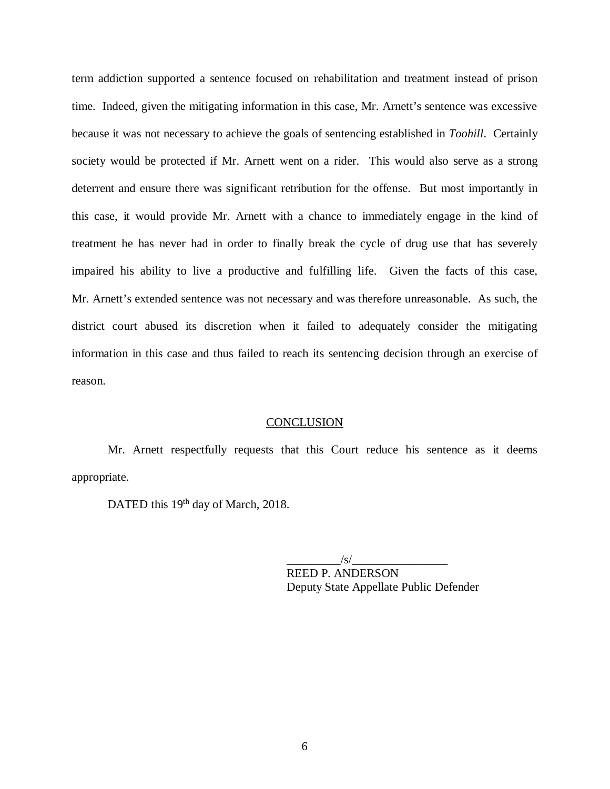term addiction supported a sentence focused on rehabilitation and treatment instead of prison time. Indeed, given the mitigating information in this case, Mr. Arnett's sentence was excessive because it was not necessary to achieve the goals of sentencing established in *Toohill*. Certainly society would be protected if Mr. Arnett went on a rider. This would also serve as a strong deterrent and ensure there was significant retribution for the offense. But most importantly in this case, it would provide Mr. Arnett with a chance to immediately engage in the kind of treatment he has never had in order to finally break the cycle of drug use that has severely impaired his ability to live a productive and fulfilling life. Given the facts of this case, Mr. Arnett's extended sentence was not necessary and was therefore unreasonable. As such, the district court abused its discretion when it failed to adequately consider the mitigating information in this case and thus failed to reach its sentencing decision through an exercise of reason.

#### **CONCLUSION**

Mr. Arnett respectfully requests that this Court reduce his sentence as it deems appropriate.

DATED this 19<sup>th</sup> day of March, 2018.

 $/\mathrm{s}/\mathrm{s}$ REED P. ANDERSON Deputy State Appellate Public Defender